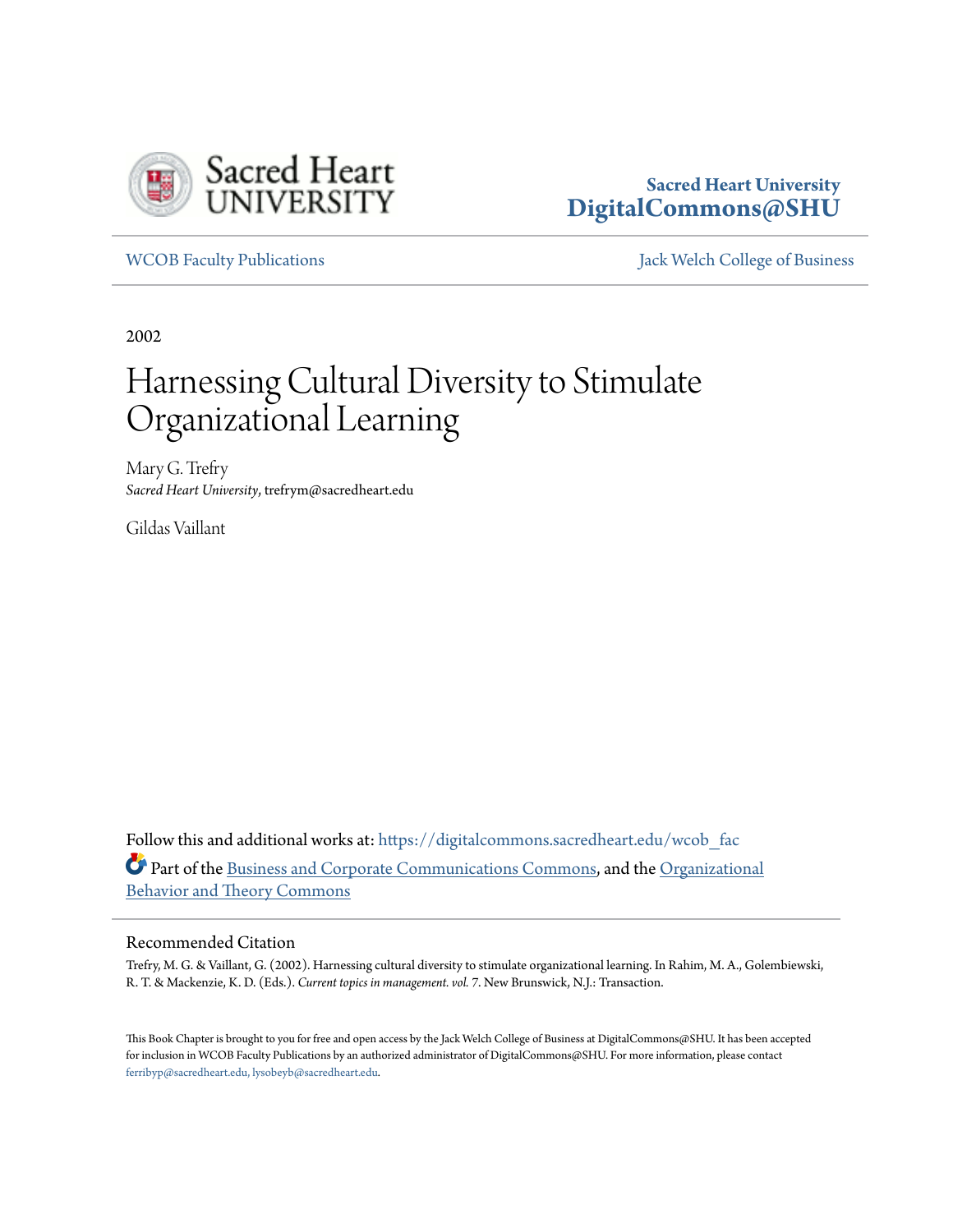

### **Sacred Heart University [DigitalCommons@SHU](https://digitalcommons.sacredheart.edu?utm_source=digitalcommons.sacredheart.edu%2Fwcob_fac%2F124&utm_medium=PDF&utm_campaign=PDFCoverPages)**

[WCOB Faculty Publications](https://digitalcommons.sacredheart.edu/wcob_fac?utm_source=digitalcommons.sacredheart.edu%2Fwcob_fac%2F124&utm_medium=PDF&utm_campaign=PDFCoverPages) [Jack Welch College of Business](https://digitalcommons.sacredheart.edu/wcob?utm_source=digitalcommons.sacredheart.edu%2Fwcob_fac%2F124&utm_medium=PDF&utm_campaign=PDFCoverPages)

2002

# Harnessing Cultural Diversity to Stimulate Organizational Learning

Mary G. Trefry *Sacred Heart University*, trefrym@sacredheart.edu

Gildas Vaillant

Follow this and additional works at: [https://digitalcommons.sacredheart.edu/wcob\\_fac](https://digitalcommons.sacredheart.edu/wcob_fac?utm_source=digitalcommons.sacredheart.edu%2Fwcob_fac%2F124&utm_medium=PDF&utm_campaign=PDFCoverPages) Part of the [Business and Corporate Communications Commons](http://network.bepress.com/hgg/discipline/627?utm_source=digitalcommons.sacredheart.edu%2Fwcob_fac%2F124&utm_medium=PDF&utm_campaign=PDFCoverPages), and the [Organizational](http://network.bepress.com/hgg/discipline/639?utm_source=digitalcommons.sacredheart.edu%2Fwcob_fac%2F124&utm_medium=PDF&utm_campaign=PDFCoverPages) [Behavior and Theory Commons](http://network.bepress.com/hgg/discipline/639?utm_source=digitalcommons.sacredheart.edu%2Fwcob_fac%2F124&utm_medium=PDF&utm_campaign=PDFCoverPages)

#### Recommended Citation

Trefry, M. G. & Vaillant, G. (2002). Harnessing cultural diversity to stimulate organizational learning. In Rahim, M. A., Golembiewski, R. T. & Mackenzie, K. D. (Eds.). *Current topics in management. vol. 7*. New Brunswick, N.J.: Transaction.

This Book Chapter is brought to you for free and open access by the Jack Welch College of Business at DigitalCommons@SHU. It has been accepted for inclusion in WCOB Faculty Publications by an authorized administrator of DigitalCommons@SHU. For more information, please contact [ferribyp@sacredheart.edu, lysobeyb@sacredheart.edu.](mailto:ferribyp@sacredheart.edu,%20lysobeyb@sacredheart.edu)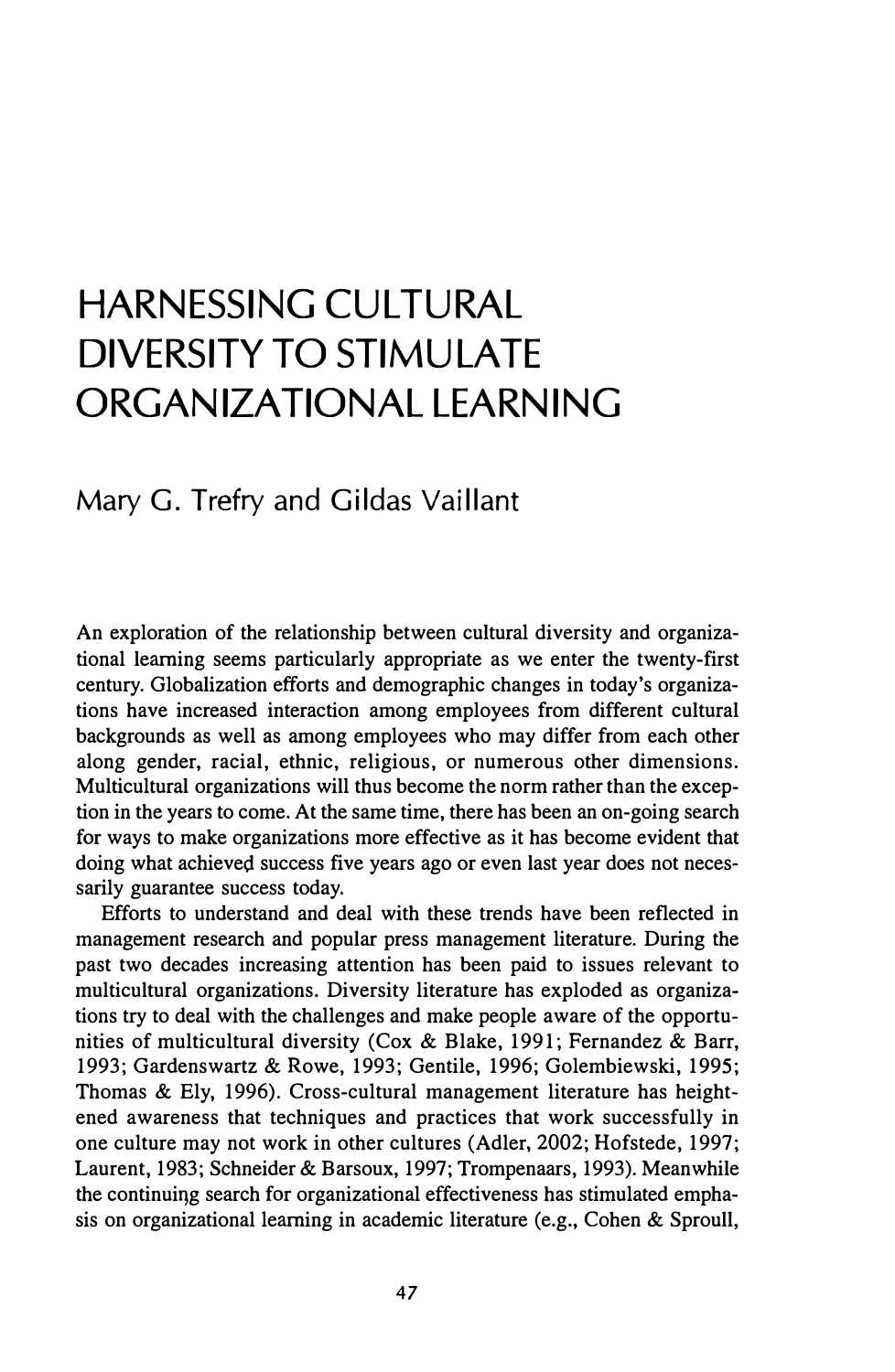## **HARNESSING CULTURAL DIVERSITY TO STIMULATE ORGANIZATIONAL LEARNING**

#### Mary G. Trefry and Gildas Vaillant

An exploration of the relationship between cultural diversity and organizational learning seems particularly appropriate as we enter the twenty-first century. Globalization efforts and demographic changes in today's organizations have increased interaction among employees from different cultural backgrounds as well as among employees who may differ from each other along gender, racial, ethnic, religious, or numerous other dimensions. Multicultural organizations will thus become the norm rather than the exception in the years to come. At the same time, there has been an on-going search for ways to make organizations more effective as it has become evident that doing what achieved success five years ago or even last year does not necessarily guarantee success today.

Efforts to understand and deal with these trends have been reflected in management research and popular press management literature. During the past two decades increasing attention has been paid to issues relevant to multicultural organizations. Diversity literature has exploded as organizations try to deal with the challenges and make people aware of the opportunities of multicultural diversity (Cox & Blake, 1991; Fernandez & Barr, 1993; Gardenswartz & Rowe, 1993; Gentile, 1996; Golembiewski, 1995; Thomas & Ely, 1996). Cross-cultural management literature has heightened awareness that techniques and practices that work successfully in one culture may not work in other cultures (Adler, 2002; Hofstede, 1997; Laurent, 1983; Schneider & Barsoux, 1997; Trompenaars, 1993). Meanwhile the continuiqg search for organizational effectiveness has stimulated emphasis on organizational learning in academic literature (e.g., Cohen & Sproull,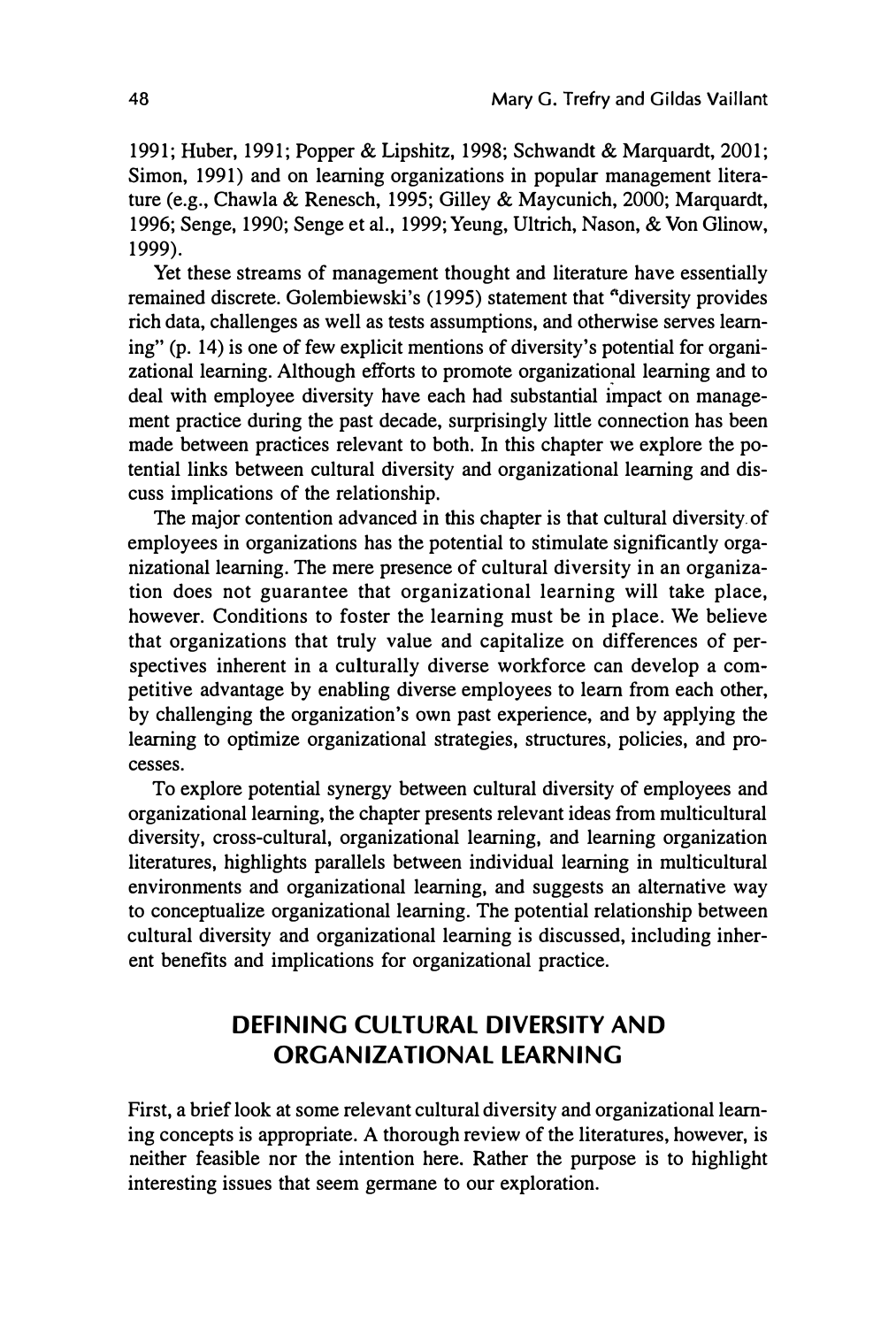1991; Huber, 1991; Popper & Lipshitz, 1998; Schwandt & Marquardt, 2001; Simon, 1991) and on learning organizations in popular management literature (e.g., Chawla & Renesch, 1995; Gilley & Maycunich, 2000; Marquardt, 1996; Senge, 1990; Senge et al., 1999; Yeung, Ultrich, Nason, & Von Glinow, 1999).

Yet these streams of management thought and literature have essentially remained discrete. Golembiewski's (1995) statement that "diversity provides rich data, challenges as well as tests assumptions, and otherwise serves learning" (p. 14) is one of few explicit mentions of diversity's potential for organizational learning. Although efforts to promote organizational learning and to deal with employee diversity have each had substantial impact on management practice during the past decade, surprisingly little connection has been made between practices relevant to both. In this chapter we explore the potential links between cultural diversity and organizational learning and discuss implications of the relationship.

The major contention advanced in this chapter is that cultural diversity. of employees in organizations has the potential to stimulate significantly organizational learning. The mere presence of cultural diversity in an organization does not guarantee that organizational learning will take place, however. Conditions to foster the learning must be in place. We believe that organizations that truly value and capitalize on differences of perspectives inherent in a culturally diverse workforce can develop a competitive advantage by enabling diverse employees to learn from each other, by challenging the organization's own past experience, and by applying the learning to optimize organizational strategies, structures, policies, and processes.

To explore potential synergy between cultural diversity of employees and organizational learning, the chapter presents relevant ideas from multicultural diversity, cross-cultural, organizational learning, and learning organization literatures, highlights parallels between individual learning in multicultural environments and organizational learning, and suggests an alternative way to conceptualize organizational learning. The potential relationship between cultural diversity and organizational learning is discussed, including inherent benefits and implications for organizational practice.

#### **DEFINING CULTURAL DIVERSITY AND ORGANIZATIONAL LEARNING**

First, a brief look at some relevant cultural diversity and organizational learning concepts is appropriate. A thorough review of the literatures, however, is neither feasible nor the intention here. Rather the purpose is to highlight interesting issues that seem germane to our exploration.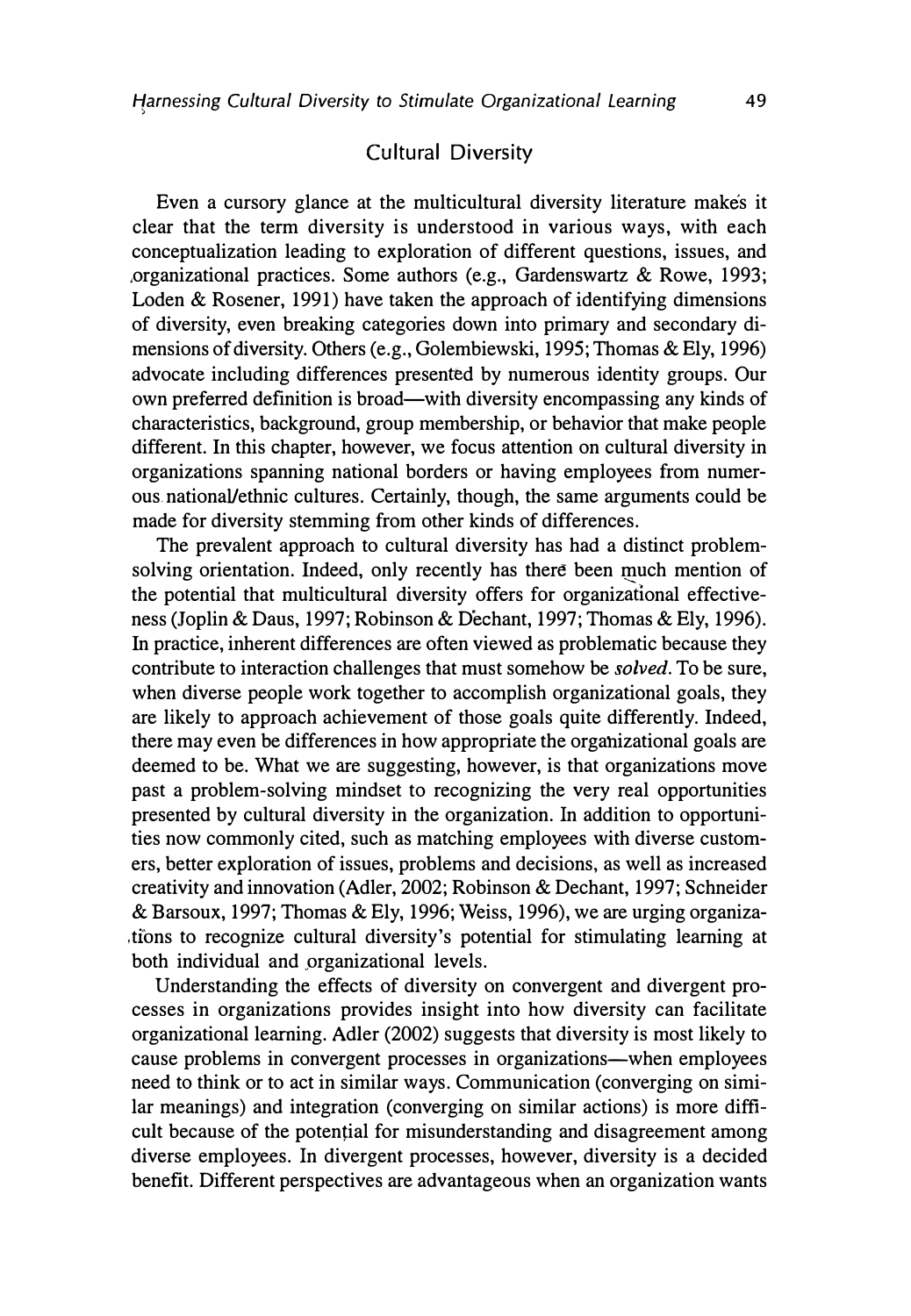#### Cultural Diversity

Even a cursory glance at the multicultural diversity literature makes it clear that the term diversity is understood in various ways, with each conceptualization leading to exploration of different questions, issues, and ,organizational practices. Some authors (e.g., Gardenswartz & Rowe, 1993; Loden & Rosener, 1991) have taken the approach of identifying dimensions of diversity, even breaking categories down into primary and secondary dimensions of diversity. Others (e.g., Golembiewski, 1995; Thomas & Ely, 1996) advocate including differences presented by numerous identity groups. Our own preferred definition is broad—with diversity encompassing any kinds of characteristics, background, group membership, or behavior that make people different. In this chapter, however, we focus attention on cultural diversity in organizations spanning national borders or having employees from numerous. national/ethnic cultures. Certainly, though, the same arguments could be made for diversity stemming from other kinds of differences.

The prevalent approach to cultural diversity has had a distinct problemsolving orientation. Indeed, only recently has there been much mention of the potential that multicultural diversity offers for organizational effectiveness (Joplin & Daus, 1997; Robinson & Dechant, 1997; Thomas & Ely, 1996). In practice, inherent differences are often viewed as problematic because they contribute to interaction challenges that must somehow be *solved.* To be sure, when diverse people work together to accomplish organizational goals, they are likely to approach achievement of those goals quite differently. Indeed, there may even be differences in how appropriate the orgahizational goals are deemed to be. What we are suggesting, however, is that organizations move past a problem-solving mindset to recognizing the very real opportunities presented by cultural diversity in the organization. In addition to opportunities now commonly cited, such as matching employees with diverse customers, better exploration of issues, problems and decisions, as well as increased creativity and innovation (Adler, 2002; Robinson & Dechant, 1997; Schneider & Barsoux, 1997; Thomas & Ely, 1996; Weiss, 1996), we are urging organiza ,tions to recognize cultural diversity's potential for stimulating learning at both individual and organizational levels.

Understanding the effects of diversity on convergent and divergent processes in organizations provides insight into how diversity can facilitate organizational learning. Adler (2002) suggests that diversity is most likely to cause problems in convergent processes in organizations-when employees need to think or to act in similar ways. Communication (converging on similar meanings) and integration (converging on similar actions) is more difficult because of the potential for misunderstanding and disagreement among diverse employees. In divergent processes, however, diversity is a decided benefit. Different perspectives are advantageous when an organization wants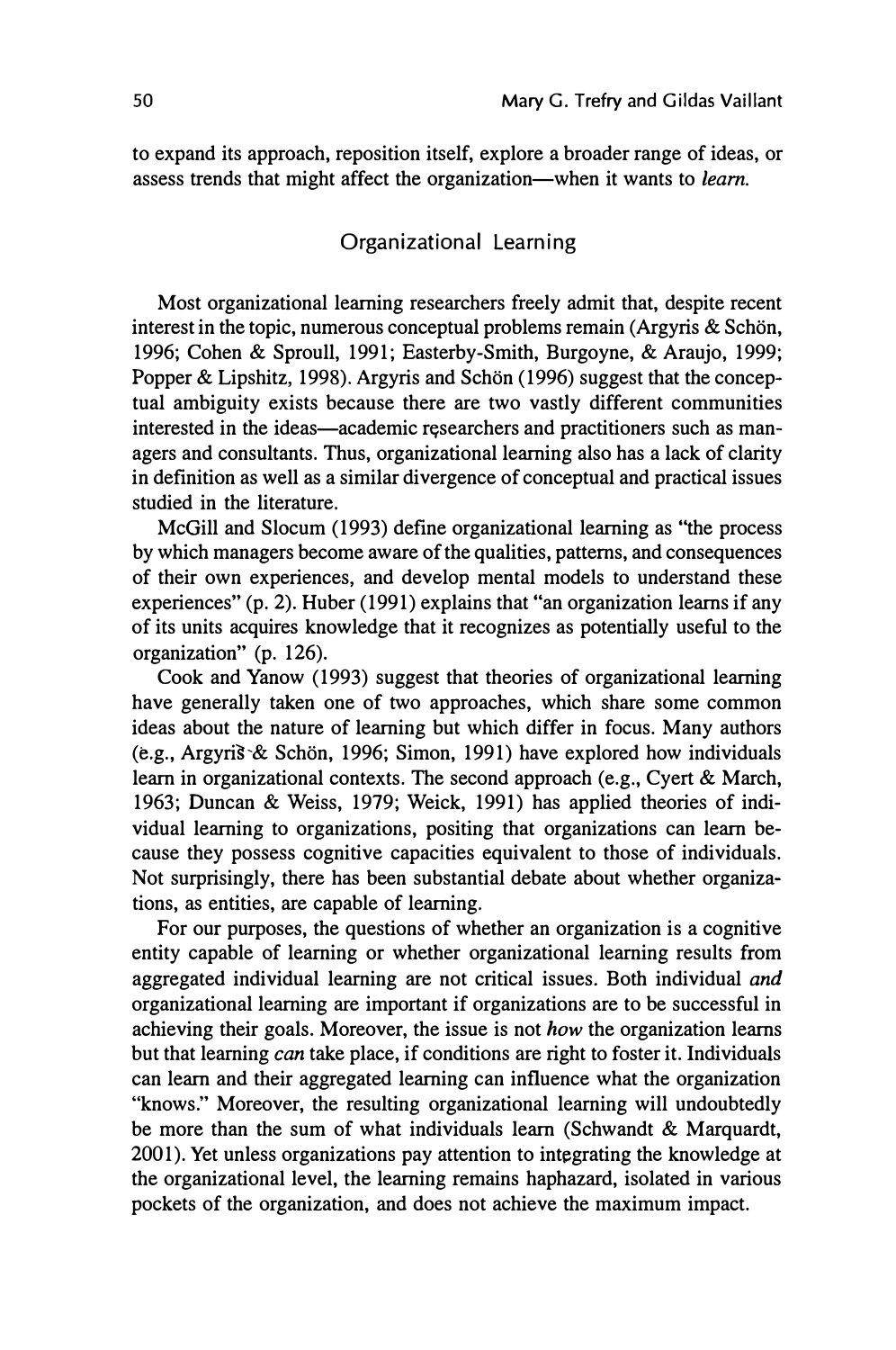to expand its approach, reposition itself, explore a broader range of ideas, or assess trends that might affect the organization-when it wants to *learn.*

#### Organizational Learning

Most organizational learning researchers freely admit that, despite recent interest in the topic, numerous conceptual problems remain (Argyris  $\&$  Schön, 1996; Cohen & Sproull, 1991; Easterby-Smith, Burgoyne, & Araujo, 1999; Popper & Lipshitz, 1998). Argyris and Schön (1996) suggest that the conceptual ambiguity exists because there are two vastly different communities interested in the ideas—academic researchers and practitioners such as managers and consultants. Thus, organizational learning also has a lack of clarity in definition as well as a similar divergence of conceptual and practical issues studied in the literature.

McGill and Slocum (1993) define organizational learning as "the process by which managers become aware of the qualities, patterns, and consequences of their own experiences, and develop mental models to understand these experiences" (p. 2). Huber (1991) explains that "an organization learns if any of its units acquires knowledge that it recognizes as potentially useful to the organization" (p. 126).

Cook and Yanow (1993) suggest that theories of organizational learning have generally taken one of two approaches, which share some common ideas about the nature of learning but which differ in focus. Many authors (e.g., Argyris & Schön, 1996; Simon, 1991) have explored how individuals learn in organizational contexts. The second approach (e.g., Cyert & March, 1963; Duncan & Weiss, 1979; Weick, 1991) has applied theories of individual learning to organizations, positing that organizations can learn because they possess cognitive capacities equivalent to those of individuals. Not surprisingly, there has been substantial debate about whether organizations, as entities, are capable of learning.

For our purposes, the questions of whether an organization is a cognitive entity capable of learning or whether organizational learning results from aggregated individual learning are not critical issues. Both individual *and* organizational learning are important if organizations are to be successful in achieving their goals. Moreover, the issue is not *how* the organization learns but that learning *can* take place, if conditions are right to foster it. Individuals can learn and their aggregated learning can influence what the organization "knows." Moreover, the resulting organizational learning will undoubtedly be more than the sum of what individuals learn (Schwandt & Marquardt, 2001). Yet unless organizations pay attention to integrating the knowledge at the organizational level, the learning remains haphazard, isolated in various pockets of the organization, and does not achieve the maximum impact.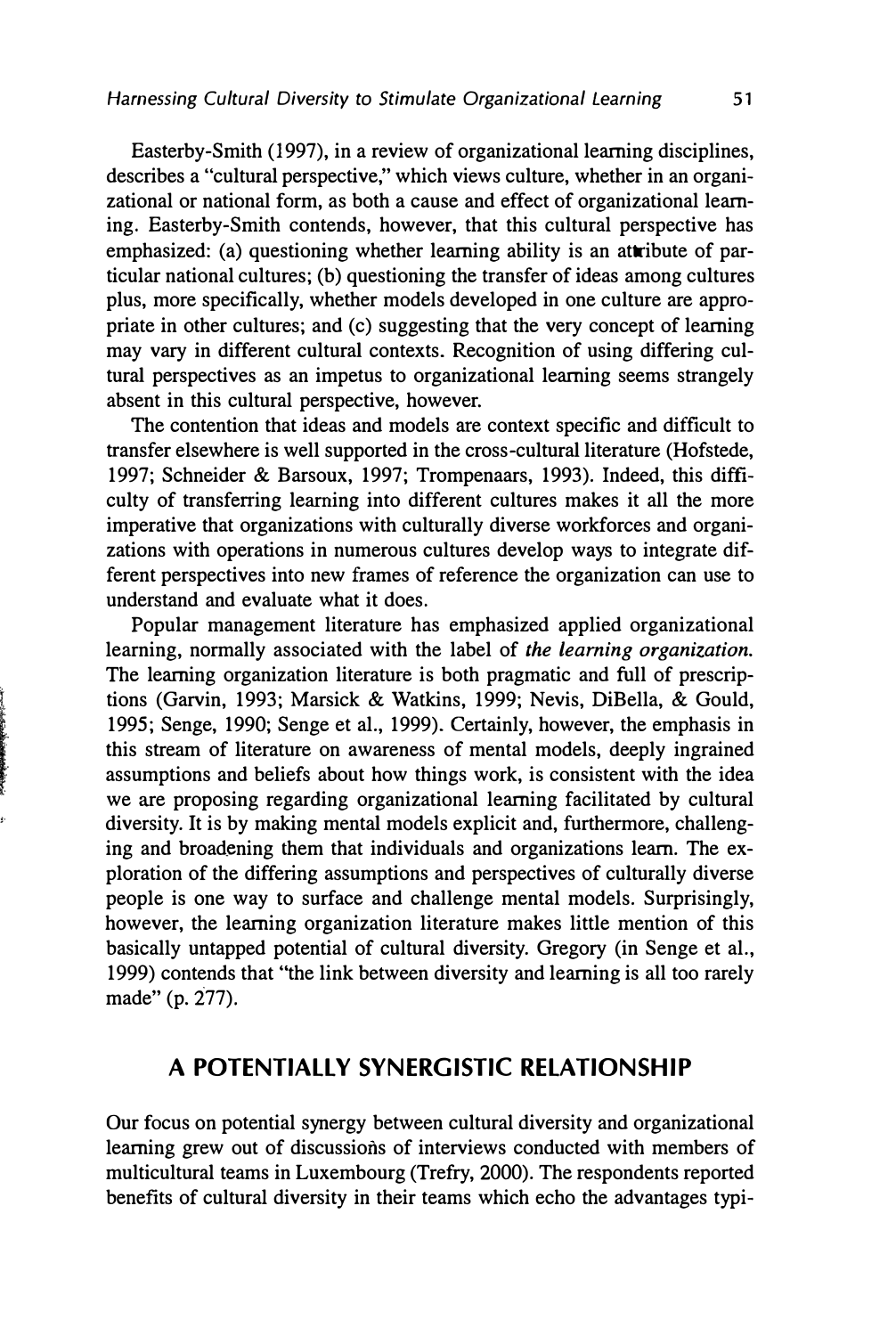Easterby-Smith (1997), in a review of organizational learning disciplines, describes a "cultural perspective," which views culture, whether in an organizational or national form, as both a cause and effect of organizational learning. Easterby-Smith contends, however, that this cultural perspective has emphasized: (a) questioning whether learning ability is an attribute of particular national cultures; (b) questioning the transfer of ideas among cultures plus, more specifically, whether models developed in one culture are appropriate in other cultures; and (c) suggesting that the very concept of learning may vary in different cultural contexts. Recognition of using differing cultural perspectives as an impetus to organizational learning seems strangely absent in this cultural perspective, however.

The contention that ideas and models are context specific and difficult to transfer elsewhere is well supported in the cross-cultural literature (Hofstede, 1997; Schneider & Barsoux, 1997; Trompenaars, 1993). Indeed, this difficulty of transferring learning into different cultures makes it all the more imperative that organizations with culturally diverse workforces and organizations with operations in numerous cultures develop ways to integrate different perspectives into new frames of reference the organization can use to understand and evaluate what it does.

Popular management literature has emphasized applied organizational learning, normally associated with the label of *the learning organization.*  The learning organization literature is both pragmatic and full of prescriptions (Garvin, 1993; Marsick & Watkins, 1999; Nevis, DiBella, & Gould, 1995; Senge, 1990; Senge et al., 1999). Certainly, however, the emphasis in this stream of literature on awareness of mental models, deeply ingrained assumptions and beliefs about how things work, is consistent with the idea we are proposing regarding organizational learning facilitated by cultural diversity. It is by making mental models explicit and, furthermore, challenging and broadening them that individuals and organizations learn. The exploration of the differing assumptions and perspectives of culturally diverse people is one way to surface and challenge mental models. Surprisingly, however, the learning organization literature makes little mention of this basically untapped potential of cultural diversity. Gregory (in Senge et al., 1999) contends that "the link between diversity and learning is all too rarely made" (p. 277).

 $t$  , and the construction of the construction of the construction of the construction of the construction of the construction of the construction of the construction of the construction of the construction of the constru

#### **A POTENTIALLY SYNERGISTIC RELATIONSHIP**

Our focus on potential synergy between cultural diversity and organizational learning grew out of discussions of interviews conducted with members of multicultural teams in Luxembourg (Trefry, 2000). The respondents reported benefits of cultural diversity in their teams which echo the advantages typi-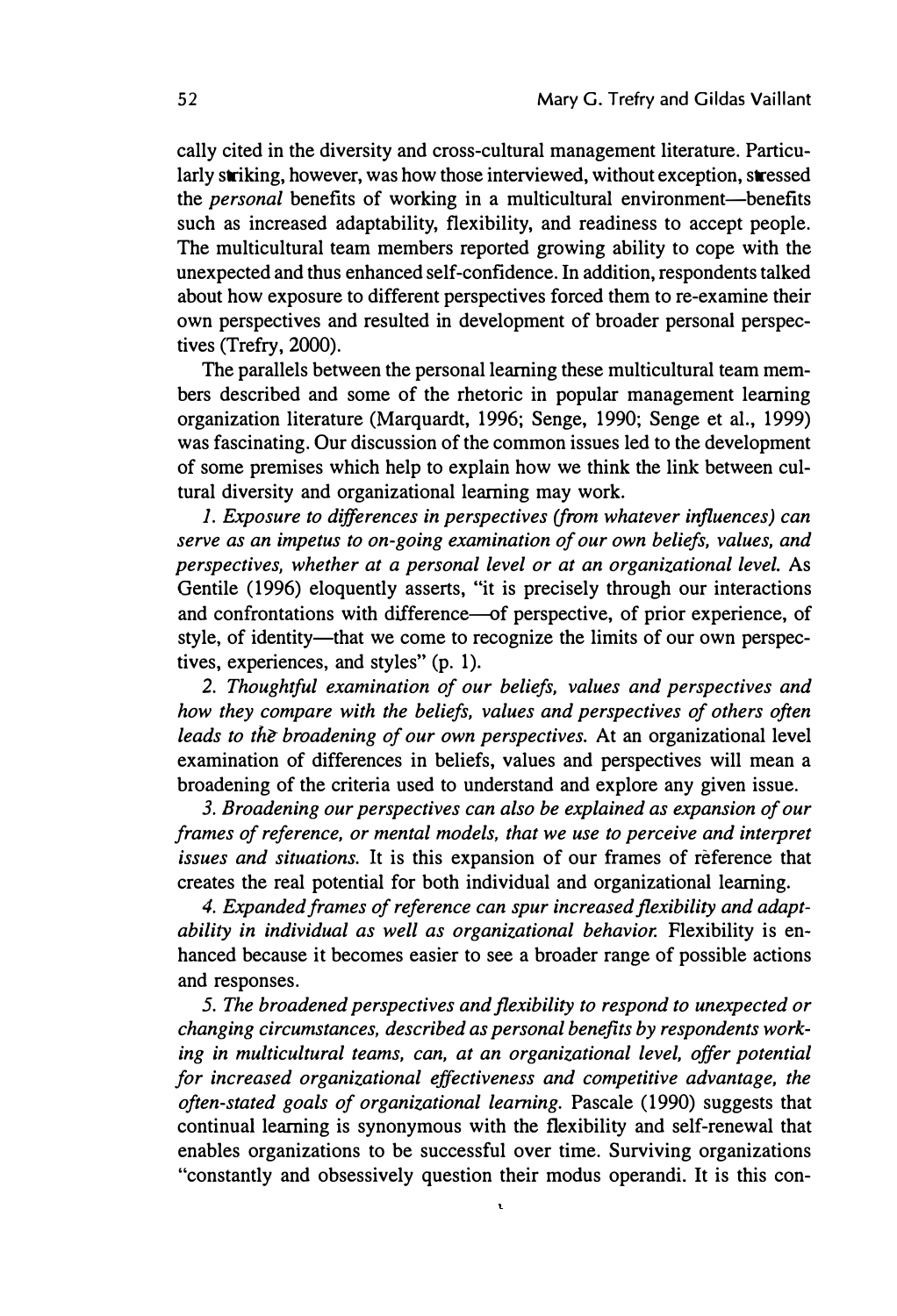cally cited in the diversity and cross-cultural management literature. Particularly striking, however, was how those interviewed, without exception, stressed the *personal* benefits of working in a multicultural environment-benefits such as increased adaptability, flexibility, and readiness to accept people. The multicultural team members reported growing ability to cope with the unexpected and thus enhanced self-confidence. In addition, respondents talked about how exposure to different perspectives forced them to re-examine their own perspectives and resulted in development of broader personal perspectives (Trefry, 2000).

The parallels between the personal learning these multicultural team members described and some of the rhetoric in popular management learning organization literature (Marquardt, 1996; Senge, 1990; Senge et al., 1999) was fascinating. Our discussion of the common issues led to the development of some premises which help to explain how we think the link between cultural diversity and organizational learning may work.

*1. Exposure to differences in perspectives (from whatever influences) can serve as an impetus to on-going examination of our own beliefs, values, and perspectives, whether at a personal level or at an organizational level.* As Gentile (1996) eloquently asserts, "it is precisely through our interactions and confrontations with difference-of perspective, of prior experience, of style, of identity—that we come to recognize the limits of our own perspectives, experiences, and styles" (p. 1).

*2. Thoughtful examination of our beliefs, values and perspectives and how they compare with the beliefs, values and perspectives of others often leads to the broadening of our own perspectives.* At an organizational level examination of differences in beliefs, values and perspectives will mean a broadening of the criteria used to understand and explore any given issue.

*3. Broadening our perspectives can also be explained as expansion of our frames of reference, or mental models, that we use to perceive and interpret issues and situations.* It is this expansion of our frames of reference that creates the real potential for both individual and organizational learning.

*4. Expanded frames of reference can spur increased flexibility and adaptability in individual as well as organizational behavior.* Flexibility is enhanced because it becomes easier to see a broader range of possible actions and responses.

*5. The broadened perspectives and flexibility to respond to unexpected or changing circumstances, described as personal benefits by respondents working in multicultural teams, can, at an organizational level, offer potential for increased organizational effectiveness and competitive advantage, the often-stated goals of organizational learning.* Pascale (1990) suggests that continual learning is synonymous with the flexibility and self-renewal that enables organizations to be successful over time. Surviving organizations "constantly and obsessively question their modus operandi. It is this con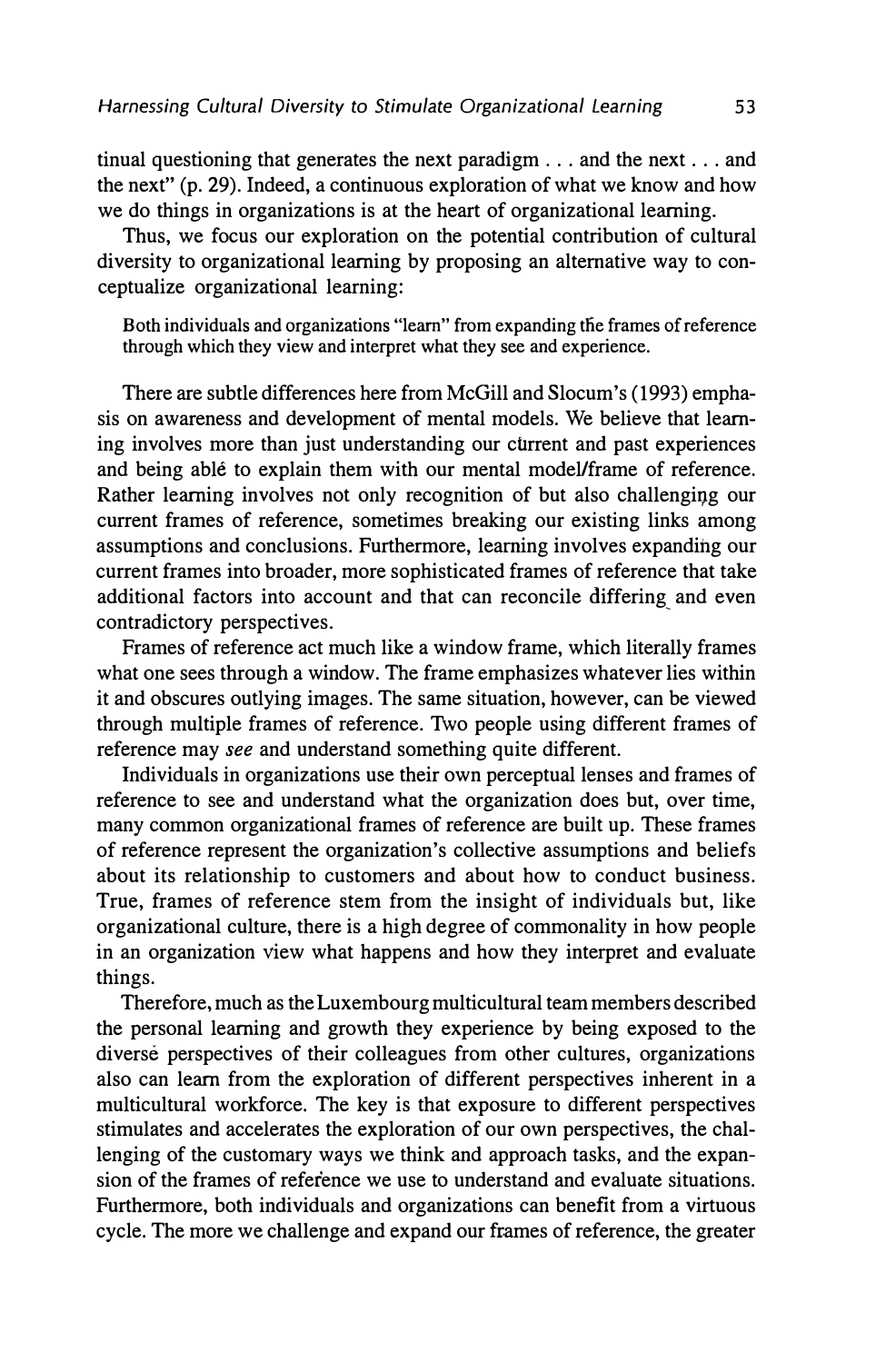tinual questioning that generates the next paradigm ... and the next ... and the next" (p. 29). Indeed, a continuous exploration of what we know and how we do things in organizations is at the heart of organizational learning.

Thus, we focus our exploration on the potential contribution of cultural diversity to organizational learning by proposing an alternative way to conceptualize organizational learning:

Both individuals and organizations "learn" from expanding the frames of reference through which they view and interpret what they see and experience.

There are subtle differences here from McGill and Slocum's (1993) emphasis on awareness and development of mental models. We believe that learning involves more than just understanding our current and past experiences and being able to explain them with our mental model/frame of reference. Rather learning involves not only recognition of but also challenging our current frames of reference, sometimes breaking our existing links among assumptions and conclusions. Furthermore, learning involves expanding our current frames into broader, more sophisticated frames of reference that take additional factors into account and that can reconcile differing and even contradictory perspectives.

Frames of reference act much like a window frame, which literally frames what one sees through a window. The frame emphasizes whatever lies within it and obscures outlying images. The same situation, however, can be viewed through multiple frames of reference. Two people using different frames of reference may *see* and understand something quite different.

Individuals in organizations use their own perceptual lenses and frames of reference to see and understand what the organization does but, over time, many common organizational frames of reference are built up. These frames of reference represent the organization's collective assumptions and beliefs about its relationship to customers and about how to conduct business. True, frames of reference stem from the insight of individuals but, like organizational culture, there is a high degree of commonality in how people in an organization view what happens and how they interpret and evaluate things.

Therefore, much as the Luxembourg multicultural team members described the personal learning and growth they experience by being exposed to the diverse perspectives of their colleagues from other cultures, organizations also can learn from the exploration of different perspectives inherent in a multicultural workforce. The key is that exposure to different perspectives stimulates and accelerates the exploration of our own perspectives, the challenging of the customary ways we think and approach tasks, and the expansion of the frames of reference we use to understand and evaluate situations. Furthermore, both individuals and organizations can benefit from a virtuous cycle. The more we challenge and expand our frames of reference, the greater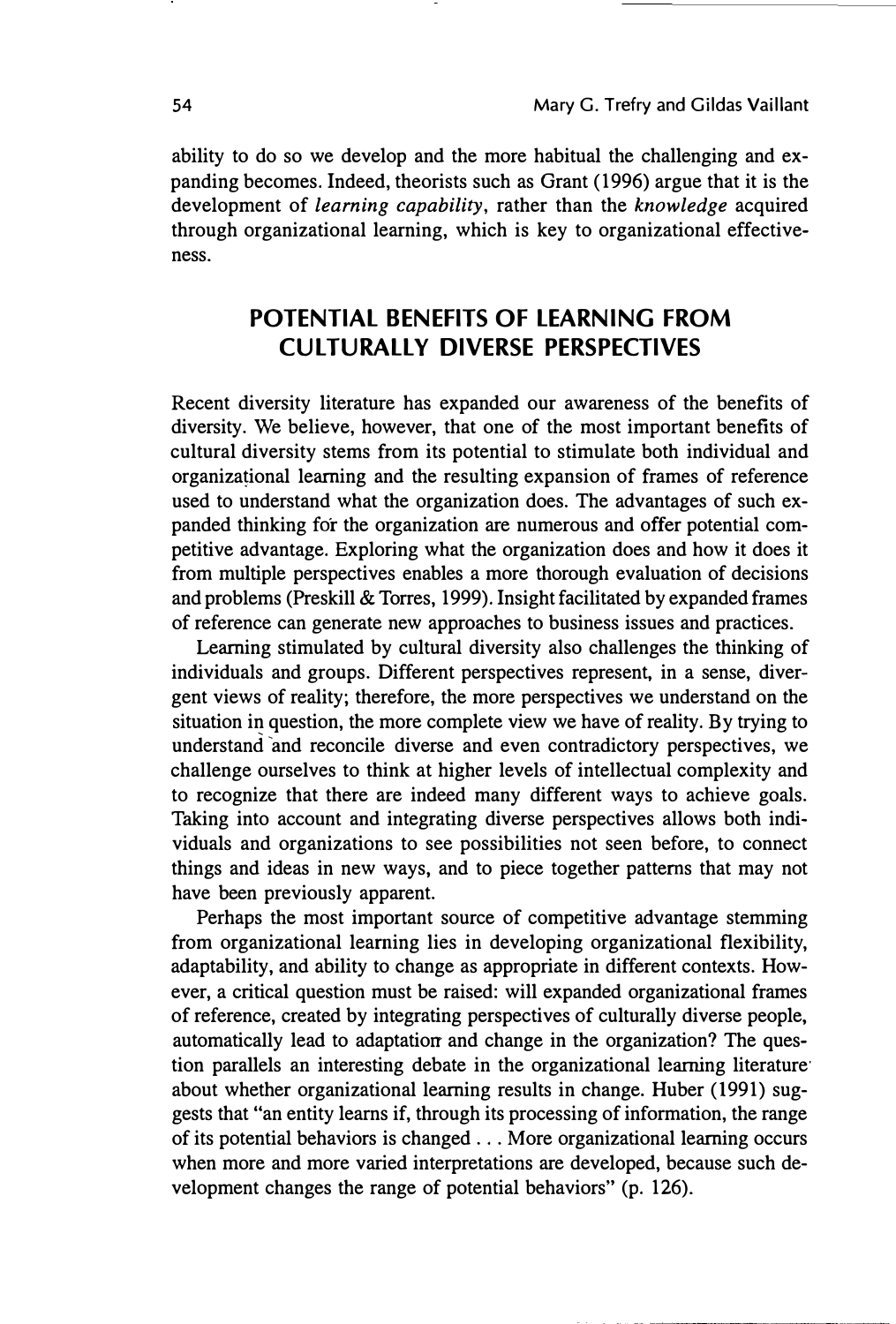ability to do so we develop and the more habitual the challenging and expanding becomes. Indeed, theorists such as Grant (1996) argue that it is the development of *learning capability,* rather than the *knowledge* acquired through organizational learning, which is key to organizational effectiveness.

#### **POTENTIAL BENEFITS OF LEARNING FROM CUL TU RALLY DIVERSE PERSPECTIVES**

Recent diversity literature has expanded our awareness of the benefits of diversity. We believe, however, that one of the most important benefits of cultural diversity stems from its potential to stimulate both individual and organizational learning and the resulting expansion of frames of reference used to understand what the organization does. The advantages of such expanded thinking for the organization are numerous and offer potential competitive advantage. Exploring what the organization does and how it does it from multiple perspectives enables a more thorough evaluation of decisions and problems (Preskill & Torres, 1999). Insight facilitated by expanded frames of reference can generate new approaches to business issues and practices.

Learning stimulated by cultural diversity also challenges the thinking of individuals and groups. Different perspectives represent, in a sense, divergent views of reality; therefore, the more perspectives we understand on the situation in question, the more complete view we have of reality. By trying to understand and reconcile diverse and even contradictory perspectives, we challenge ourselves to think at higher levels of intellectual complexity and to recognize that there are indeed many different ways to achieve goals. Taking into account and integrating diverse perspectives allows both individuals and organizations to see possibilities not seen before, to connect things and ideas in new ways, and to piece together patterns that may not have been previously apparent.

Perhaps the most important source of competitive advantage stemming from organizational learning lies in developing organizational flexibility, adaptability, and ability to change as appropriate in different contexts. However, a critical question must be raised: will expanded organizational frames of reference, created by integrating perspectives of culturally diverse people, automatically lead to adaptation and change in the organization? The question parallels an interesting debate in the organizational learning literature· about whether organizational learning results in change. Huber (1991) suggests that "an entity learns if, through its processing of information, the range of its potential behaviors is changed ... More organizational learning occurs when more and more varied interpretations are developed, because such development changes the range of potential behaviors" (p. 126).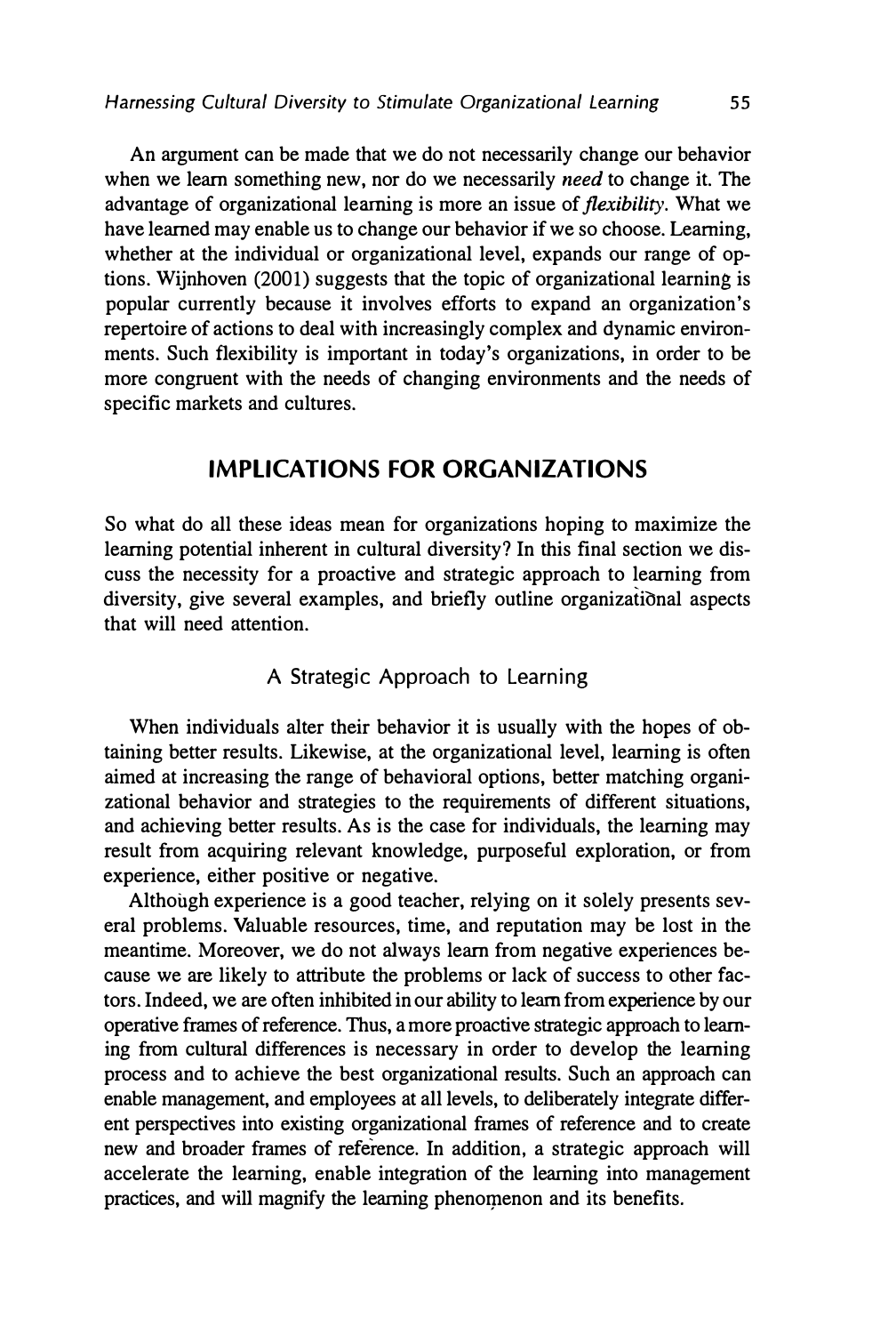An argument can be made that we do not necessarily change our behavior when we learn something new, nor do we necessarily *need* to change it. The advantage of organizational learning is more an issue of *flexibility.* What we have learned may enable us to change our behavior if we so choose. Leaming, whether at the individual or organizational level, expands our range of options. Wijnhoven (2001) suggests that the topic of organizational learning is popular currently because it involves efforts to expand an organization's repertoire of actions to deal with increasingly complex and dynamic environments. Such flexibility is important in today's organizations, in order to be more congruent with the needs of changing environments and the needs of specific markets and cultures.

#### **IMPLICATIONS FOR ORGANIZATIONS**

So what do all these ideas mean for organizations hoping to maximize the learning potential inherent in cultural diversity? In this final section we discuss the necessity for a proactive and strategic approach to learning from diversity, give several examples, and briefly outline organizational aspects that will need attention.

#### A Strategic Approach to Learning

When individuals alter their behavior it is usually with the hopes of obtaining better results. Likewise, at the organizational level, learning is often aimed at increasing the range of behavioral options, better matching organizational behavior and strategies to the requirements of different situations, and achieving better results. As is the case for individuals, the learning may result from acquiring relevant knowledge, purposeful exploration, or from experience, either positive or negative.

Although experience is a good teacher, relying on it solely presents several problems. Valuable resources, time, and reputation may be lost in the meantime. Moreover, we do not always learn from negative experiences because we are likely to attribute the problems or lack of success to other factors. Indeed, we are often inhibited in our ability to learn from experience by our operative frames of reference. Thus, a more proactive strategic approach to learning from cultural differences is necessary in order to develop the learning process and to achieve the best organizational results. Such an approach can enable management, and employees at all levels, to deliberately integrate different perspectives into existing organizational frames of reference and to create new and broader frames of reference. In addition, a strategic approach will accelerate the learning, enable integration of the learning into management practices, and will magnify the learning phenomenon and its benefits.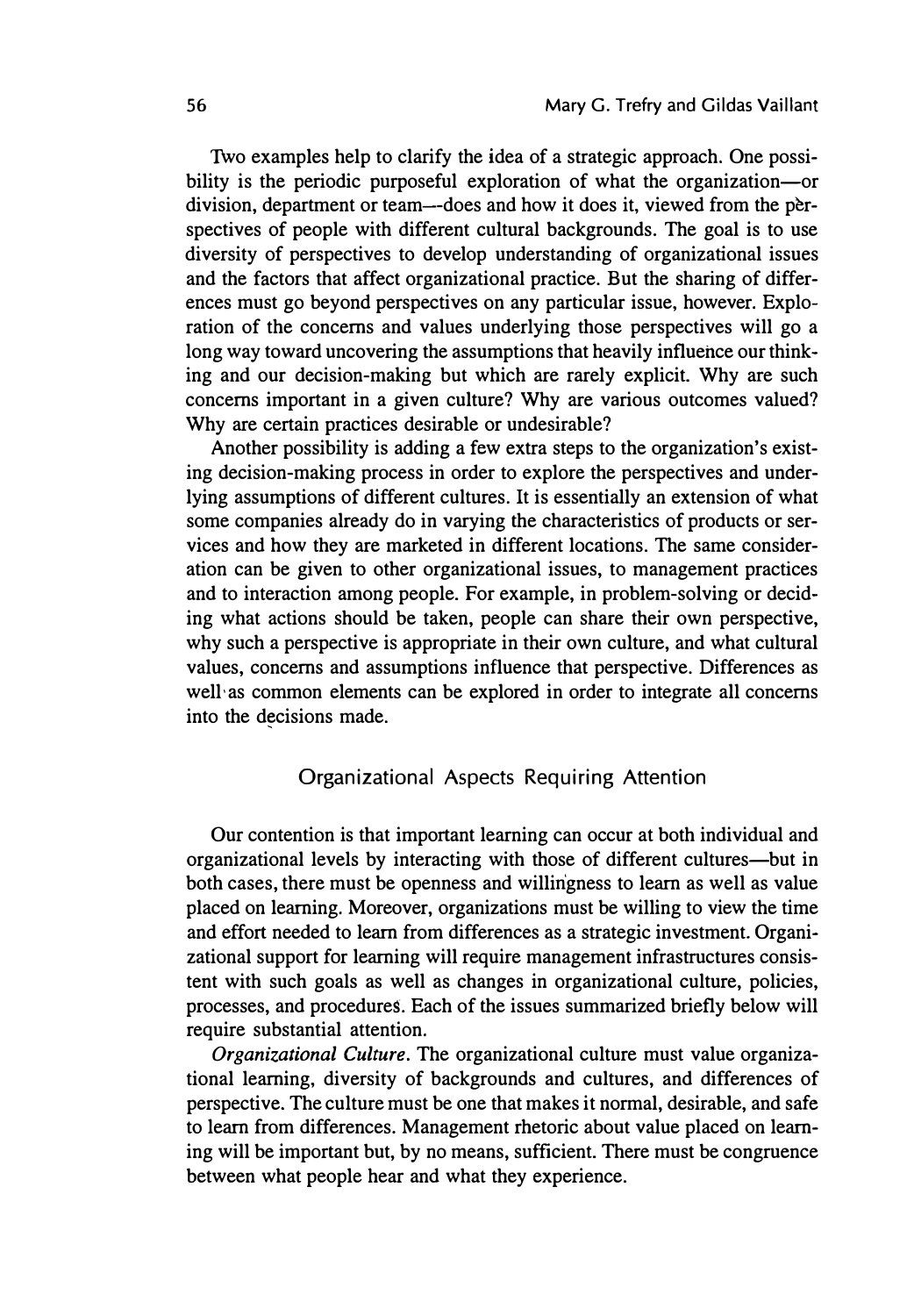Two examples help to clarify the idea of a strategic approach. One possibility is the periodic purposeful exploration of what the organization-or division, department or team--does and how it does it, viewed from the perspectives of people with different cultural backgrounds. The goal is to use diversity of perspectives to develop understanding of organizational issues and the factors that affect organizational practice. But the sharing of differences must go beyond perspectives on any particular issue, however. Exploration of the concerns and values underlying those perspectives will go a long way toward uncovering the assumptions that heavily influence our thinking and our decision-making but which are rarely explicit. Why are such concerns important in a given culture? Why are various outcomes valued? Why are certain practices desirable or undesirable?

Another possibility is adding a few extra steps to the organization's existing decision-making process in order to explore the perspectives and underlying assumptions of different cultures. It is essentially an extension of what some companies already do in varying the characteristics of products or services and how they are marketed in different locations. The same consideration can be given to other organizational issues, to management practices and to interaction among people. For example, in problem-solving or deciding what actions should be taken, people can share their own perspective, why such a perspective is appropriate in their own culture, and what cultural values, concerns and assumptions influence that perspective. Differences as well· as common elements can be explored in order to integrate all concerns into the decisions made.

#### Organizational Aspects Requiring Attention

Our contention is that important learning can occur at both individual and organizational levels by interacting with those of different cultures-but in both cases, there must be openness and willingness to learn as well as value placed on learning. Moreover, organizations must be willing to view the time and effort needed to learn from differences as a strategic investment. Organizational support for learning will require management infrastructures consistent with such goals as well as changes in organizational culture, policies, processes, and procedures. Each of the issues summarized briefly below will require substantial attention.

*Organizational Culture.* The organizational culture must value organizational learning, diversity of backgrounds and cultures, and differences of perspective. The culture must be one that makes it normal, desirable, and safe to learn from differences. Management rhetoric about value placed on learning will be important but, by no means, sufficient. There must be congruence between what people hear and what they experience.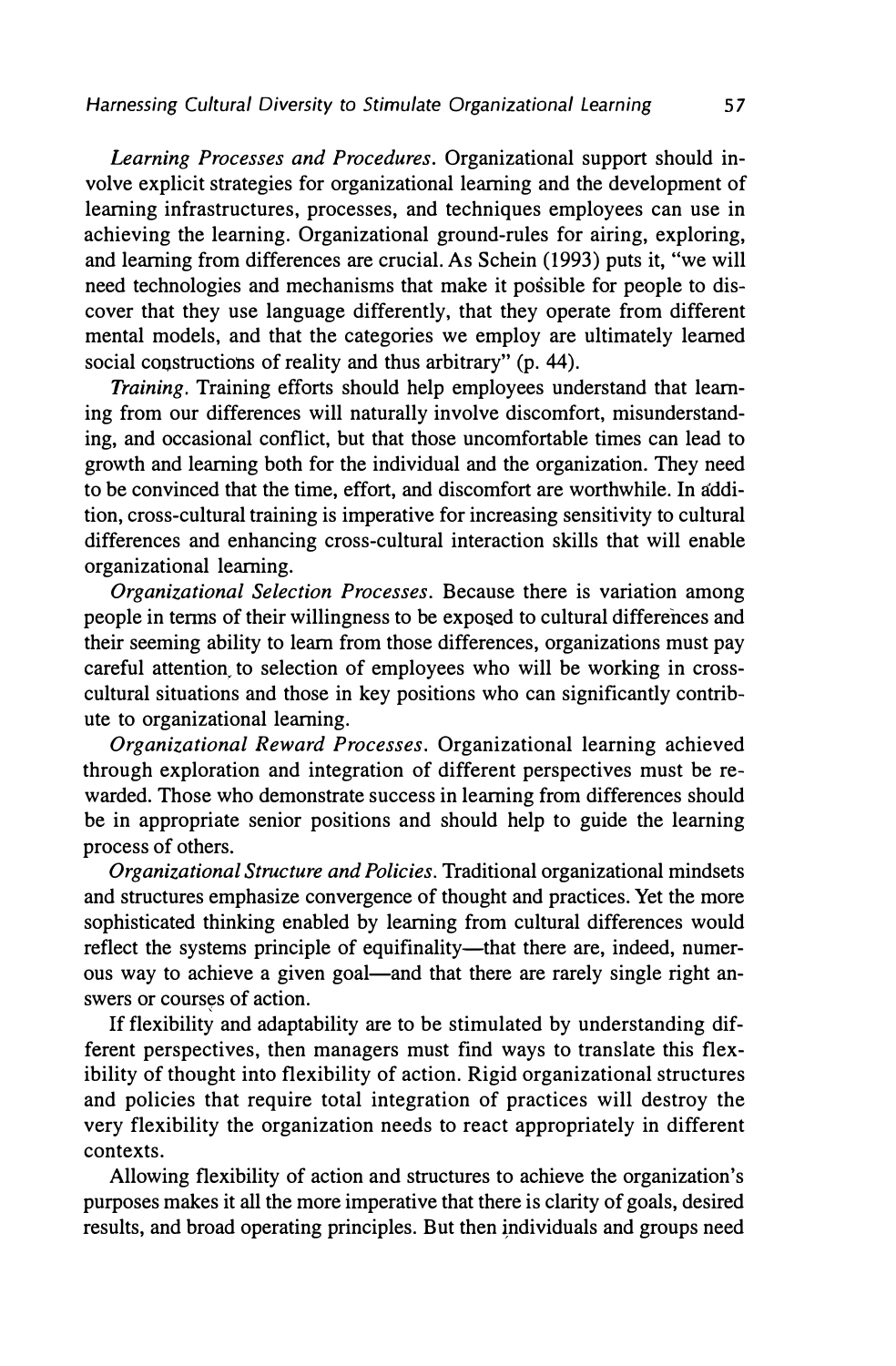*Learning Processes and Procedures.* Organizational support should involve explicit strategies for organizational learning and the development of learning infrastructures, processes, and techniques employees can use in achieving the learning. Organizational ground-rules for airing, exploring, and learning from differences are crucial. As Schein (1993) puts it, "we will need technologies and mechanisms that make it possible for people to discover that they use language differently, that they operate from different mental models, and that the categories we employ are ultimately learned social constructions of reality and thus arbitrary" (p. 44).

*Training.* Training efforts should help employees understand that learning from our differences will naturally involve discomfort, misunderstanding, and occasional conflict, but that those uncomfortable times can lead to growth and learning both for the individual and the organization. They need to be convinced that the time, effort, and discomfort are worthwhile. In addition, cross-cultural training is imperative for increasing sensitivity to cultural differences and enhancing cross-cultural interaction skills that will enable organizational learning.

*Organizational Selection Processes.* Because there is variation among people in terms of their willingness to be exposed to cultural differences and their seeming ability to learn from those differences, organizations must pay careful attention. to selection of employees who will be working in crosscultural situations and those in key positions who can significantly contribute to organizational learning.

*Organizational Reward Processes.* Organizational learning achieved through exploration and integration of different perspectives must be rewarded. Those who demonstrate success in learning from differences should be in appropriate senior positions and should help to guide the learning process of others.

*Organizational Structure and Policies.* Traditional organizational mindsets and structures emphasize convergence of thought and practices. Yet the more sophisticated thinking enabled by learning from cultural differences would reflect the systems principle of equifinality-that there are, indeed, numerous way to achieve a given goal—and that there are rarely single right answers or courses of action.

If flexibility and adaptability are to be stimulated by understanding different perspectives, then managers must find ways to translate this flexibility of thought into flexibility of action. Rigid organizational structures and policies that require total integration of practices will destroy the very flexibility the organization needs to react appropriately in different contexts.

Allowing flexibility of action and structures to achieve the organization's purposes makes it all the more imperative that there is clarity of goals, desired results, and broad operating principles. But then individuals and groups need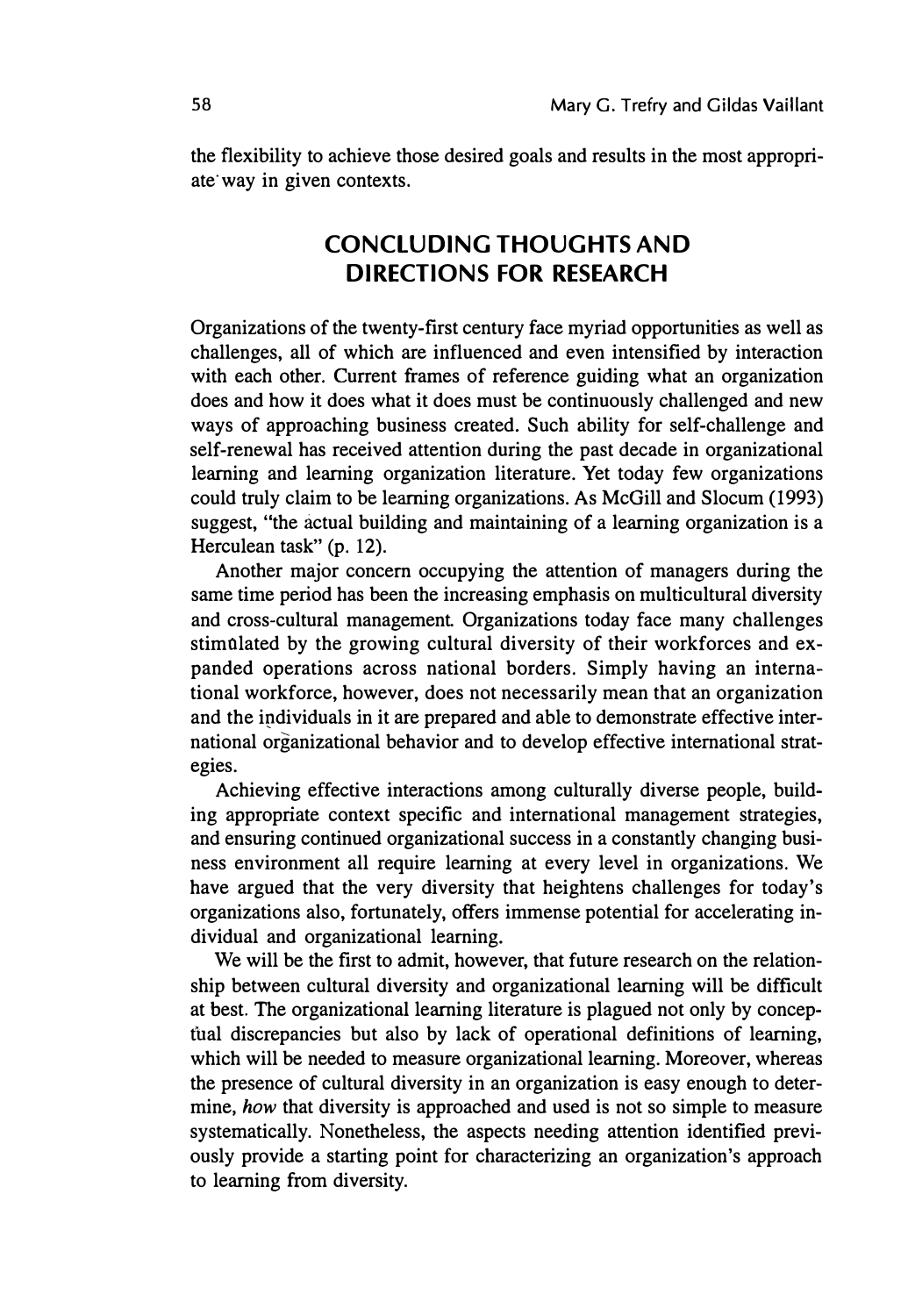the flexibility to achieve those desired goals and results in the most appropriate way in given contexts.

#### **CONCLUDING THOUGHTS AND DIRECTIONS FOR RESEARCH**

Organizations of the twenty-first century face myriad opportunities as well as challenges, all of which are influenced and even intensified by interaction with each other. Current frames of reference guiding what an organization does and how it does what it does must be continuously challenged and new ways of approaching business created. Such ability for self-challenge and self-renewal has received attention during the past decade in organizational learning and learning organization literature. Yet today few organizations could truly claim to be learning organizations. As McGill and Slocum (1993) suggest, "the actual building and maintaining of a learning organization is a Herculean task" (p. 12).

Another major concern occupying the attention of managers during the same time period has been the increasing emphasis on multicultural diversity and cross-cultural management. Organizations today face many challenges stimulated by the growing cultural diversity of their workforces and expanded operations across national borders. Simply having an international workforce, however, does not necessarily mean that an organization and the individuals in it are prepared and able to demonstrate effective international organizational behavior and to develop effective international strategies.

Achieving effective interactions among culturally diverse people, building appropriate context specific and international management strategies, and ensuring continued organizational success in a constantly changing business environment all require learning at every level in organizations. We have argued that the very diversity that heightens challenges for today's organizations also, fortunately, offers immense potential for accelerating individual and organizational learning.

We will be the first to admit, however, that future research on the relationship between cultural diversity and organizational learning will be difficult at best. The organizational learning literature is plagued not only by concep tual discrepancies but also by lack of operational definitions of learning, which will be needed to measure organizational learning. Moreover, whereas the presence of cultural diversity in an organization is easy enough to determine, *how* that diversity is approached and used is not so simple to measure systematically. Nonetheless, the aspects needing attention identified previously provide a starting point for characterizing an organization's approach to learning from diversity.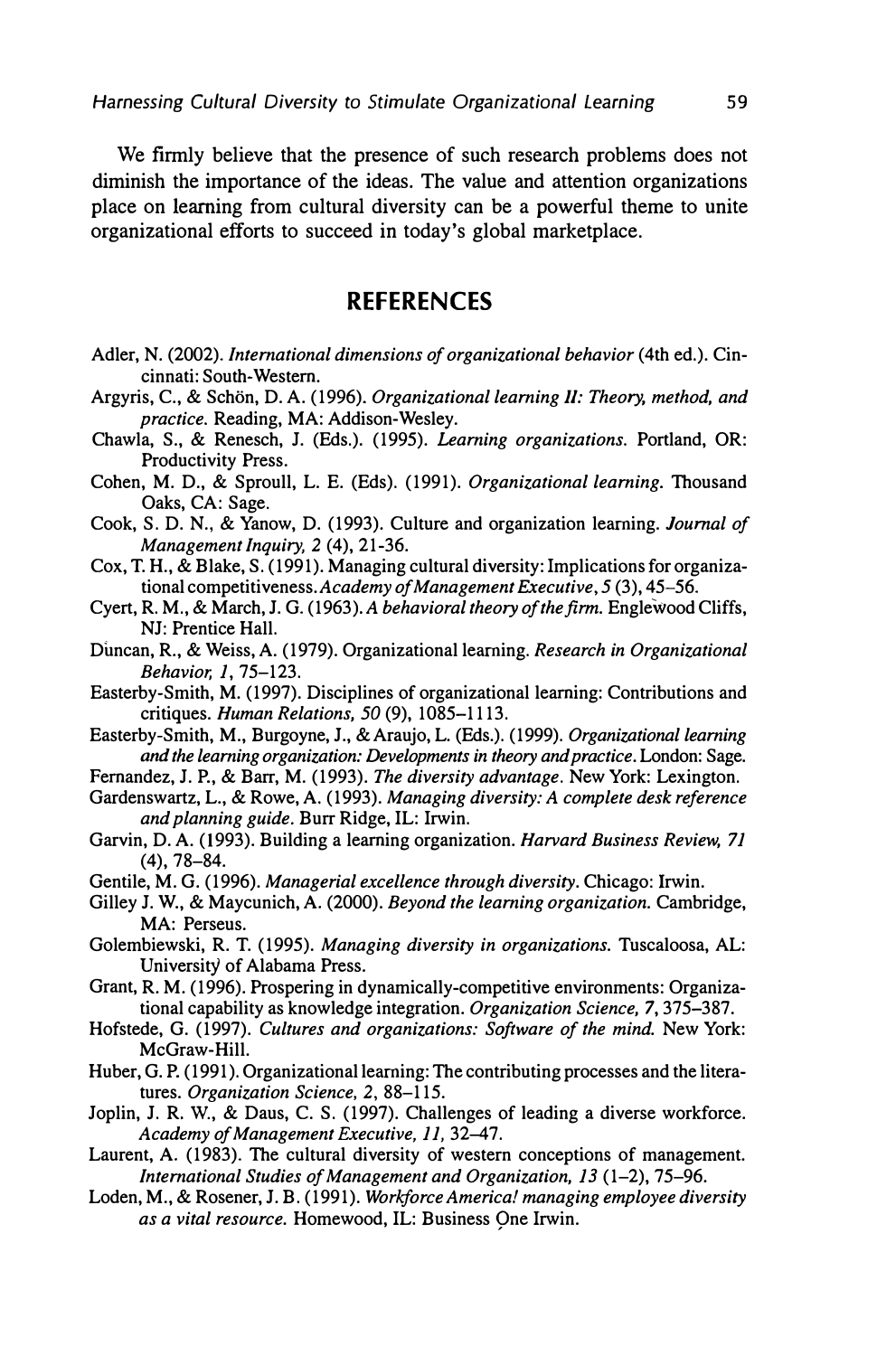We firmly believe that the presence of such research problems does not diminish the importance of the ideas. The value and attention organizations place on learning from cultural diversity can be a powerful theme to unite organizational efforts to succeed in today's global marketplace.

#### **REFERENCES**

- Adler, N. (2002). *International dimensions of organizational behavior* (4th ed.). Cincinnati: South-Western.
- Argyris, C., & Schön, D. A. (1996). *Organizational learning II: Theory, method, and practice.* Reading, MA: Addison-Wesley.
- Chawla, S., & Renesch, J. (Eds.). (1995). *Learning organizations.* Portland, OR: Productivity Press.
- Cohen, M. D., & Sproull, L. E. (Eds). (1991). *Organizational learning.* Thousand Oaks, CA: Sage.
- Cook, S. D. N., & Yanow, D. (1993). Culture and organization learning. *Journal of Management Inquiry, 2* (4), 21-36.
- Cox, T. H., & Blake, S. ( 1991). Managing cultural diversity: Implications for organizational competitiveness. *Academy of Management Executive, 5* (3), 45-56.
- Cyert, R. M., & March, J. G. (1963 ). *A behavioral theory of the firm.* Englewood Cliffs, NJ: Prentice Hall.
- Duncan, R., & Weiss, **A.** (1979). Organizational learning. *Research in Organizational Behavior, 1,* 75-123.
- Easterby-Smith, M. (1997). Disciplines of organizational learning: Contributions and critiques. *Human Relations, 50* (9), 1085-1113.
- Easterby-Smith, M., Burgoyne, J., & Araujo, L. (Eds.). (1999). *Organizational learning and the learning organization: Developments in theory and practice.* London: Sage.
- Fernandez, J.P., & Barr, M. (1993). *The diversity advantage.* New York: Lexington.
- Gardenswartz, L., & Rowe, **A.** (1993). *Managing diversity: A complete desk reference and planning guide.* Burr Ridge, IL: Irwin.
- Garvin, D. **A.** (1993). Building a learning organization. *Harvard Business Review, 71*  (4), 78-84.
- Gentile, M. G. (1996). *Managerial excellence through diversity.* Chicago: Irwin.
- Gilley J. W., & Maycunich, **A.** (2000). *Beyond the learning organization.* Cambridge, MA: Perseus.
- Golembiewski, R. T. (1995). *Managing diversity in organizations.* Tuscaloosa, AL: University of Alabama Press.
- Grant, R. M. (1996). Prospering in dynamically-competitive environments: Organizational capability as knowledge integration. *Organization Science,* 7, 375-387.
- Hofstede, G. (1997). *Cultures and organizations: Software of the mind.* New York: McGraw-Hill.
- Huber, G. P. ( 1991 ). Organizational learning: The contributing processes and the literatures. *Organization Science, 2,* 88-115.
- Joplin, J. R. W., & Daus, C. S. (1997). Challenges of leading a diverse workforce. *Academy of Management Executive, 11,* 32-47.
- Laurent, **A.** (1983). The cultural diversity of western conceptions of management. *International Studies of Management and Organization, 13* (1-2), 75-96.
- Loden, M., & Rosener, J.B. (1991). *Workforce America! managing employee diversity*  as a vital resource. Homewood, IL: Business One Irwin.